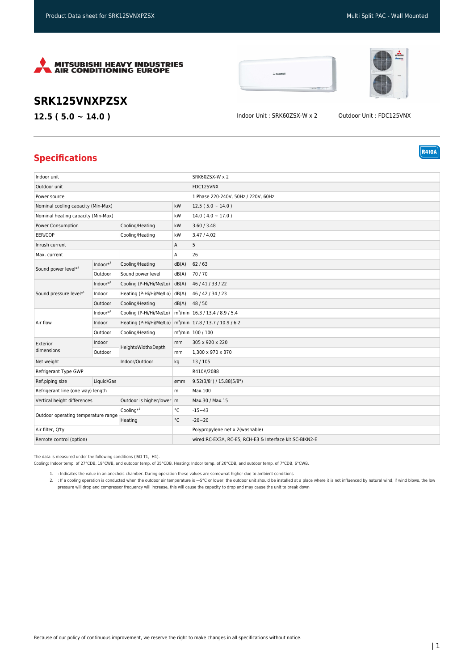





**R410A** 

## **SRK125VNXPZSX**

**12.5 ( 5.0 ~ 14.0 )** Indoor Unit : SRK60ZSX-W x 2 Outdoor Unit : FDC125VNX

## **Specifications**

| Indoor unit                                                |              |                                                                         |                                                         | SRK60ZSX-W x 2                      |
|------------------------------------------------------------|--------------|-------------------------------------------------------------------------|---------------------------------------------------------|-------------------------------------|
| Outdoor unit                                               |              |                                                                         |                                                         | FDC125VNX                           |
| Power source                                               |              |                                                                         |                                                         | 1 Phase 220-240V, 50Hz / 220V, 60Hz |
| Nominal cooling capacity (Min-Max)                         |              | kW                                                                      | $12.5(5.0 \sim 14.0)$                                   |                                     |
| Nominal heating capacity (Min-Max)                         |              | kW                                                                      | $14.0(4.0 \sim 17.0)$                                   |                                     |
| Cooling/Heating<br>Power Consumption                       |              |                                                                         | kW                                                      | 3.60 / 3.48                         |
| EER/COP<br>Cooling/Heating                                 |              |                                                                         | kW                                                      | 3.47 / 4.02                         |
| Inrush current                                             |              |                                                                         | А                                                       | 5                                   |
| Max. current                                               |              |                                                                         | А                                                       | 26                                  |
| Sound power level*1                                        | Indoor $*^3$ | Cooling/Heating                                                         | dB(A)                                                   | 62/63                               |
|                                                            | Outdoor      | Sound power level                                                       | dB(A)                                                   | 70/70                               |
| Sound pressure level*1                                     | Indoor $*^3$ | Cooling (P-Hi/Hi/Me/Lo)                                                 | dB(A)                                                   | 46 / 41 / 33 / 22                   |
|                                                            | Indoor       | Heating (P-Hi/Hi/Me/Lo) dB(A)                                           |                                                         | 46 / 42 / 34 / 23                   |
|                                                            | Outdoor      | Cooling/Heating                                                         | dB(A)                                                   | 48 / 50                             |
| Air flow                                                   | $Indoor*3$   | Cooling (P-Hi/Hi/Me/Lo)   m <sup>3</sup> /min   16.3 / 13.4 / 8.9 / 5.4 |                                                         |                                     |
|                                                            | Indoor       | Heating (P-Hi/Hi/Me/Lo) m <sup>3</sup> /min 17.8 / 13.7 / 10.9 / 6.2    |                                                         |                                     |
|                                                            | Outdoor      | Cooling/Heating                                                         |                                                         | $m^3$ /min   100 / 100              |
| Exterior<br>dimensions                                     | Indoor       | HeightxWidthxDepth                                                      | mm                                                      | 305 x 920 x 220                     |
|                                                            | Outdoor      |                                                                         | mm                                                      | 1,300 x 970 x 370                   |
| Net weight<br>Indoor/Outdoor                               |              | kg                                                                      | 13/105                                                  |                                     |
| Refrigerant Type GWP                                       |              |                                                                         | R410A/2088                                              |                                     |
| Ref.piping size                                            | Liquid/Gas   |                                                                         | ømm                                                     | 9.52(3/8")/15.88(5/8")              |
| Refrigerant line (one way) length                          |              | m                                                                       | Max.100                                                 |                                     |
| Outdoor is higher/lower   m<br>Vertical height differences |              |                                                                         | Max.30 / Max.15                                         |                                     |
| Outdoor operating temperature range                        |              | Cooling $*^2$                                                           | °C                                                      | $-15 - 43$                          |
|                                                            |              | Heating                                                                 | $^{\circ}{\rm C}$                                       | $-20 - 20$                          |
| Air filter, Q'ty                                           |              |                                                                         | Polypropylene net x 2(washable)                         |                                     |
| Remote control (option)                                    |              |                                                                         | wired:RC-EX3A, RC-E5, RCH-E3 & Interface kit:SC-BIKN2-E |                                     |

The data is measured under the following conditions (ISO-T1, -H1).

Cooling: Indoor temp. of 27°CDB, 19°CWB, and outdoor temp. of 35°CDB. Heating: Indoor temp. of 20°CDB, and outdoor temp. of 7°CDB, 6°CWB.

1. : Indicates the value in an anechoic chamber. During operation these values are somewhat higher due to ambient conditions

2. : If a cooling operation is conducted when the outdoor air temperature is —5°C or lower, the outdoor unit should be installed at a place where it is not influenced by natural wind, if wind blows, the low pressure will drop and compressor frequency will increase, this will cause the capacity to drop and may cause the unit to break down